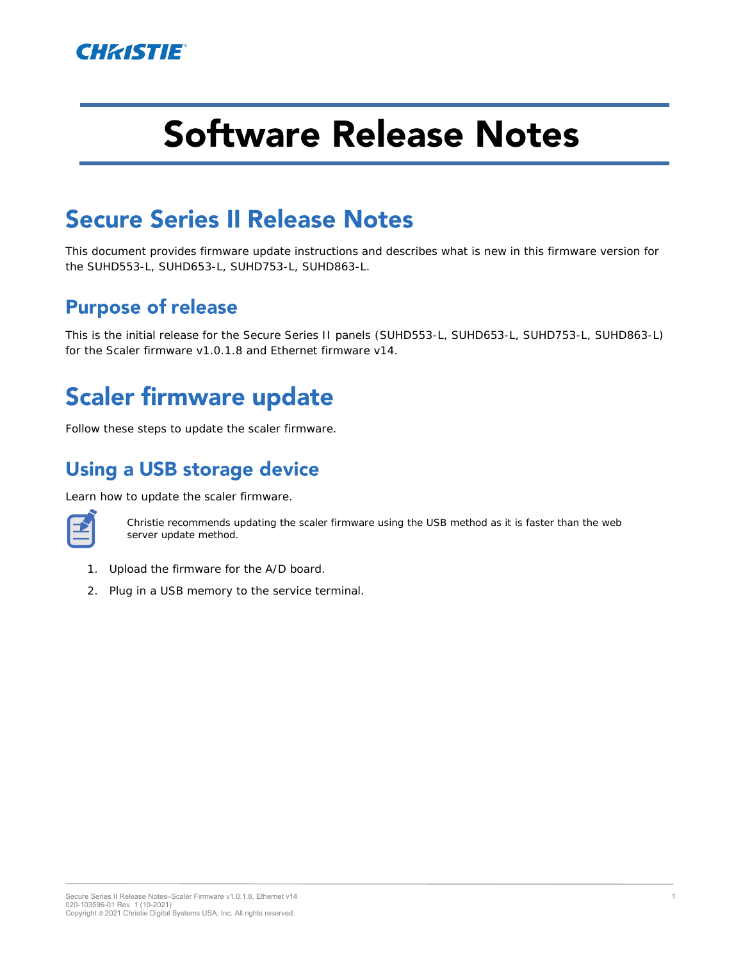

# **Software Release Notes**

### **Secure Series II Release Notes**

This document provides firmware update instructions and describes what is new in this firmware version for the SUHD553-L, SUHD653-L, SUHD753-L, SUHD863-L.

#### **Purpose of release**

This is the initial release for the Secure Series II panels (SUHD553-L, SUHD653-L, SUHD753-L, SUHD863-L) for the Scaler firmware v1.0.1.8 and Ethernet firmware v14.

## **Scaler firmware update**

Follow these steps to update the scaler firmware.

#### **Using a USB storage device**

Learn how to update the scaler firmware.



Christie recommends updating the scaler firmware using the USB method as it is faster than the web server update method.

- 1. Upload the firmware for the A/D board.
- 2. Plug in a USB memory to the service terminal.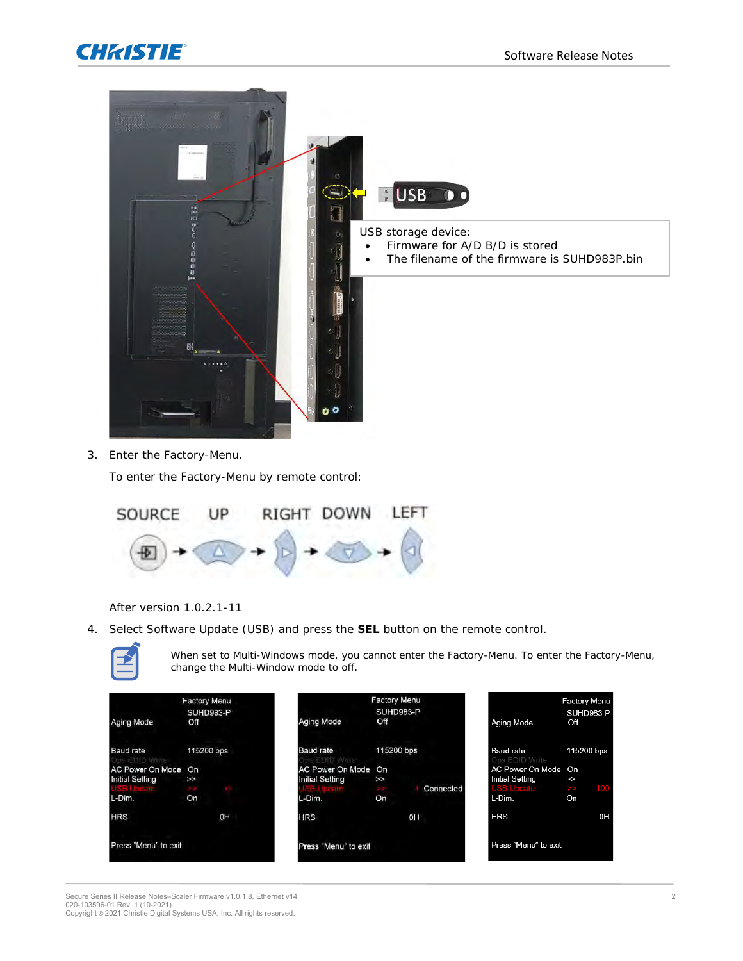



3. Enter the Factory-Menu.

To enter the Factory-Menu by remote control:



After version 1.0.2.1-11

4. Select Software Update (USB) and press the **SEL** button on the remote control.



When set to Multi-Windows mode, you cannot enter the Factory-Menu. To enter the Factory-Menu, change the Multi-Window mode to off.

| Aging Mode                                    | <b>Factory Menu</b><br>SUHD983-P<br>Off | <b>Aging Mode</b>                                 | <b>Factory Menu</b><br>SUHD983-P<br>Off | Aging Mode                                                         | Factory Menu<br>SUHD983-P<br>Off |
|-----------------------------------------------|-----------------------------------------|---------------------------------------------------|-----------------------------------------|--------------------------------------------------------------------|----------------------------------|
| Baud rate<br>Ops EDID Write                   | 115200 bps                              | Baud rate<br>SEDID Write                          | 115200 bps                              | Baud rate<br>Ops EDID Write                                        | 115200 bps                       |
| AC Power On Mode On<br><b>Initial Setting</b> | $\geq$                                  | <b>AC Power On Mode</b><br><b>Initial Setting</b> | On<br>$\rightarrow$<br>Connected        | AC Power On Mode On<br><b>Initial Setting</b><br><b>USB Update</b> | $\geq$<br>$\rightarrow$          |
| L-Dim.                                        | On                                      | L-Dim.                                            | On                                      | L-Dim.                                                             | On                               |
| <b>HRS</b>                                    | 0H                                      | <b>HRS</b>                                        | OΗ                                      | <b>HRS</b>                                                         | 0 <sup>H</sup>                   |
| Press "Menu" to exit                          |                                         | Press "Menu" to exit                              |                                         | Press "Menu" to exit                                               |                                  |

Secure Series II Release Notes–Scaler Firmware v1.0.1.8, Ethernet v14<br>020-103596-01 Rev. 1 (10-2021)<br>Copyright © 2021 Christie Digital Systems USA, Inc. All rights reserved.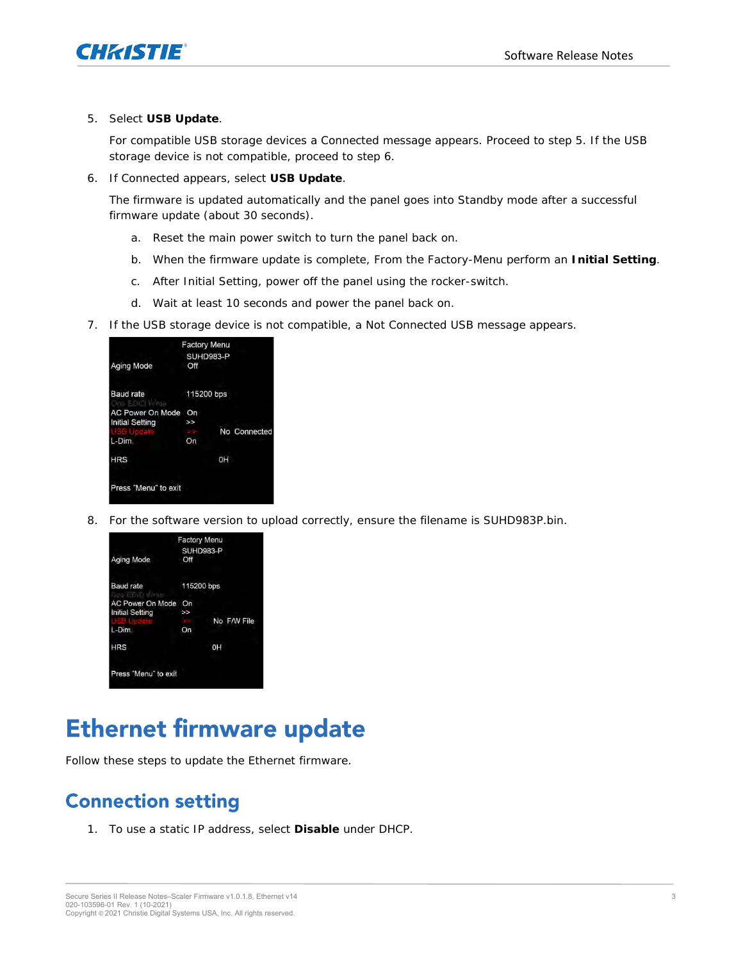

5. Select **USB Update**.

For compatible USB storage devices a Connected message appears. Proceed to step 5. If the USB storage device is not compatible, proceed to step 6.

6. If Connected appears, select **USB Update**.

The firmware is updated automatically and the panel goes into Standby mode after a successful firmware update (about 30 seconds).

- a. Reset the main power switch to turn the panel back on.
- b. When the firmware update is complete, From the Factory-Menu perform an **Initial Setting**.
- c. After Initial Setting, power off the panel using the rocker-switch.
- d. Wait at least 10 seconds and power the panel back on.
- 7. If the USB storage device is not compatible, a Not Connected USB message appears.



8. For the software version to upload correctly, ensure the filename is SUHD983P.bin.



### **Ethernet firmware update**

Follow these steps to update the Ethernet firmware.

### **Connection setting**

1. To use a static IP address, select **Disable** under DHCP.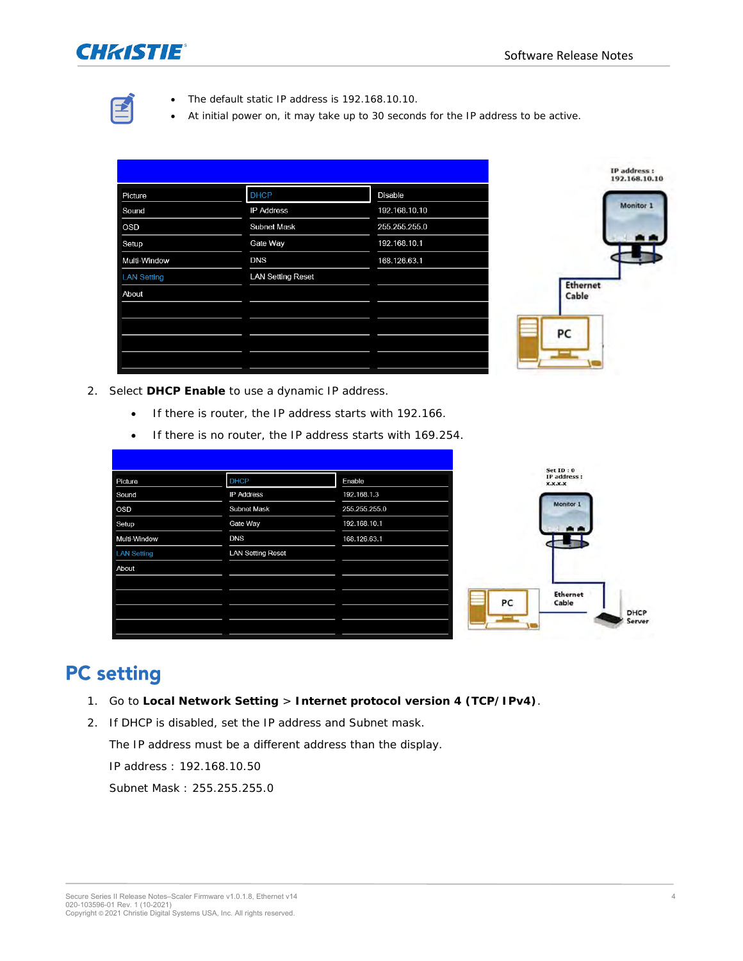

- The default static IP address is 192.168.10.10.
- At initial power on, it may take up to 30 seconds for the IP address to be active.

|                    |                          |               | <b>IP</b> address <b>:</b><br>192.168.10.10 |
|--------------------|--------------------------|---------------|---------------------------------------------|
| Picture            | <b>DHCP</b>              | Disable       |                                             |
| Sound              | <b>IP Address</b>        | 192.168.10.10 | Monitor 1                                   |
| <b>OSD</b>         | <b>Subnet Mask</b>       | 255.255.255.0 |                                             |
| Setup              | Gate Way                 | 192.168.10.1  |                                             |
| Multi-Window       | <b>DNS</b>               | 168.126.63.1  |                                             |
| <b>LAN Setting</b> | <b>LAN Setting Reset</b> |               |                                             |
| About              |                          |               | <b>Ethernet</b><br>Cable                    |
|                    |                          |               |                                             |
|                    |                          |               | PC                                          |
|                    |                          |               |                                             |
|                    |                          |               |                                             |

- 2. Select **DHCP Enable** to use a dynamic IP address.
	- If there is router, the IP address starts with 192.166.
	- If there is no router, the IP address starts with 169.254.

| Picture            | <b>DHCP</b>              | Enable        |    |
|--------------------|--------------------------|---------------|----|
| Sound              | <b>IP Address</b>        | 192.168.1.3   |    |
| <b>OSD</b>         | <b>Subnet Mask</b>       | 255.255.255.0 |    |
| Setup              | Gate Way                 | 192.168.10.1  |    |
| Multi-Window       | <b>DNS</b>               | 168.126.63.1  |    |
| <b>LAN Setting</b> | <b>LAN Setting Reset</b> |               |    |
| About              |                          |               |    |
|                    |                          |               |    |
|                    |                          |               | PC |
|                    |                          |               |    |
|                    |                          |               |    |
|                    |                          |               |    |



#### **PC** setting

- 1. Go to **Local Network Setting** > **Internet protocol version 4 (TCP/IPv4)**.
- 2. If DHCP is disabled, set the IP address and Subnet mask.

The IP address must be a different address than the display.

IP address : 192.168.10.50

Subnet Mask : 255.255.255.0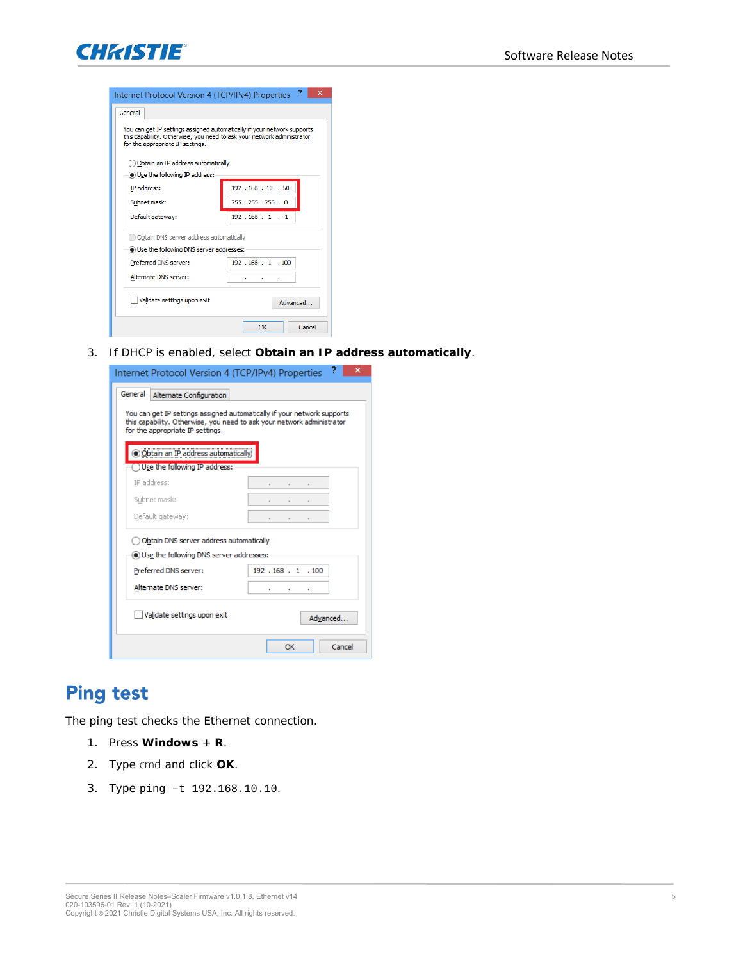

| Internet Protocol Version 4 (TCP/IPv4) Properties                                                                                                                                     | 2<br>×              |
|---------------------------------------------------------------------------------------------------------------------------------------------------------------------------------------|---------------------|
| General                                                                                                                                                                               |                     |
| You can get IP settings assigned automatically if your network supports<br>this capability. Otherwise, you need to ask your network administrator<br>for the appropriate IP settings. |                     |
| Obtain an IP address automatically                                                                                                                                                    |                     |
| <b>.</b> Use the following IP address:                                                                                                                                                |                     |
| IP address:                                                                                                                                                                           | 192 . 168 . 10 . 50 |
| Subnet mask:                                                                                                                                                                          | 255 . 255 . 255 . 0 |
| Default gateway:                                                                                                                                                                      | 192.168.1.1         |
| Obtain DNS server address automatically                                                                                                                                               |                     |
| Use the following DNS server addresses:                                                                                                                                               |                     |
| Preferred DNS server:                                                                                                                                                                 | 192 . 168 . 1 . 100 |
| Alternate DNS server:                                                                                                                                                                 |                     |
| Validate settings upon exit                                                                                                                                                           | Advanced            |
|                                                                                                                                                                                       | Cancel<br>OK        |

3. If DHCP is enabled, select **Obtain an IP address automatically**.

| Internet Protocol Version 4 (TCP/IPv4) Properties                                                                                                                                     | ?<br>×              |
|---------------------------------------------------------------------------------------------------------------------------------------------------------------------------------------|---------------------|
| General<br>Alternate Configuration                                                                                                                                                    |                     |
| You can get IP settings assigned automatically if your network supports<br>this capability. Otherwise, you need to ask your network administrator<br>for the appropriate IP settings. |                     |
| Dictain an IP address automatically                                                                                                                                                   |                     |
| Use the following IP address:                                                                                                                                                         |                     |
| IP address:                                                                                                                                                                           |                     |
| Subnet mask:                                                                                                                                                                          |                     |
| Default gateway:                                                                                                                                                                      |                     |
| Obtain DNS server address automatically                                                                                                                                               |                     |
| (b) Use the following DNS server addresses:                                                                                                                                           |                     |
| Preferred DNS server:                                                                                                                                                                 | 192 . 168 . 1 . 100 |
| Alternate DNS server:                                                                                                                                                                 | ٠                   |
| Validate settings upon exit                                                                                                                                                           | Advanced            |
|                                                                                                                                                                                       | Cancel<br><b>OK</b> |

#### **Ping test**

The ping test checks the Ethernet connection.

- 1. Press **Windows** + **R**.
- 2. Type cmd and click **OK**.
- 3. Type ping –t 192.168.10.10.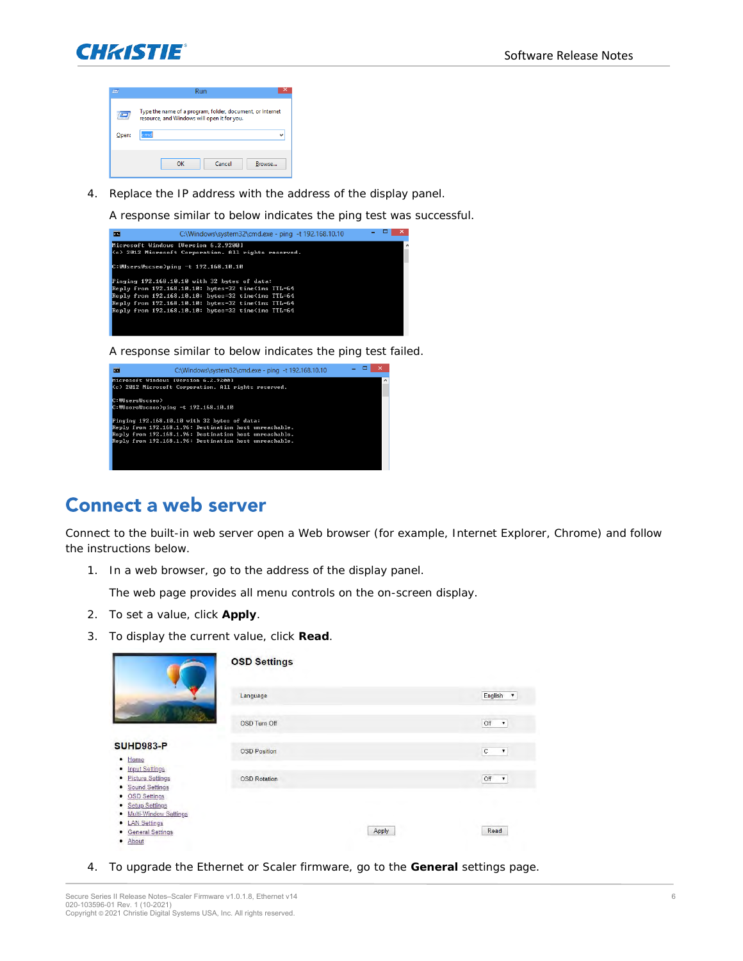



4. Replace the IP address with the address of the display panel.

A response similar to below indicates the ping test was successful.



A response similar to below indicates the ping test failed.



#### **Connect a web server**

Connect to the built-in web server open a Web browser (for example, Internet Explorer, Chrome) and follow the instructions below.

1. In a web browser, go to the address of the display panel.

The web page provides all menu controls on the on-screen display.

- 2. To set a value, click **Apply**.
- 3. To display the current value, click **Read**.

|                                                                                                                                   | <b>OSD Settings</b> |                                    |
|-----------------------------------------------------------------------------------------------------------------------------------|---------------------|------------------------------------|
|                                                                                                                                   | Language            | English<br>$\overline{\mathbf{v}}$ |
|                                                                                                                                   | OSD Turn Off        | Off<br>$\pmb{\mathrm{v}}$          |
| <b>SUHD983-P</b><br>· Home                                                                                                        | <b>OSD Position</b> | $\mathbb C$<br>$\pmb{\mathrm{v}}$  |
| • Input Settings<br><b>Picture Settings</b><br>٠<br>Sound Settings<br>٠<br><b>OSD Settings</b><br>٠<br><b>Setup Settings</b><br>٠ | <b>OSD Rotation</b> | Off<br>$\pmb{\mathrm{v}}$          |
| Multi-Window Settings<br><b>LAN Settings</b><br>٠<br><b>General Settings</b><br>About                                             | Apply               | Read                               |

4. To upgrade the Ethernet or Scaler firmware, go to the **General** settings page.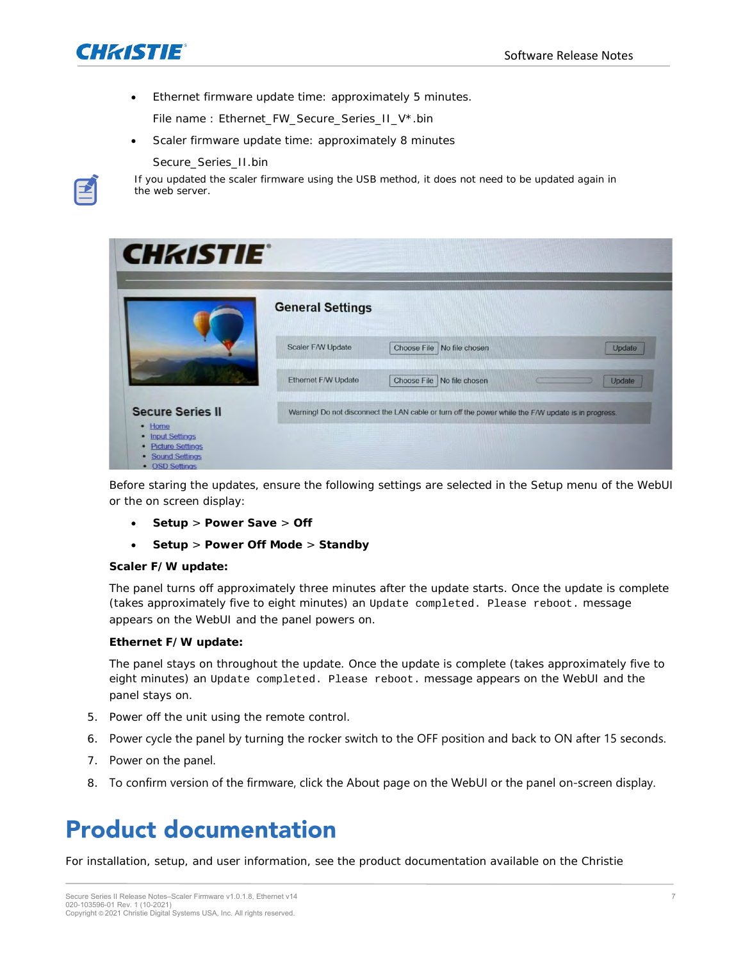

• Ethernet firmware update time: approximately 5 minutes.

File name : Ethernet\_FW\_Secure\_Series\_II\_V\*.bin

• Scaler firmware update time: approximately 8 minutes

Secure\_Series\_II.bin



If you updated the scaler firmware using the USB method, it does not need to be updated again in the web server.

|                         | <b>General Settings</b>    |                                                                                                     |        |
|-------------------------|----------------------------|-----------------------------------------------------------------------------------------------------|--------|
|                         | <b>Scaler F/W Update</b>   | Choose File No file chosen                                                                          | Update |
|                         | <b>Ethernet F/W Update</b> | Choose File   No file chosen                                                                        | Update |
| <b>Secure Series II</b> |                            | Warning! Do not disconnect the LAN cable or turn off the power while the F/W update is in progress. |        |

Before staring the updates, ensure the following settings are selected in the Setup menu of the WebUI or the on screen display:

- **Setup** > **Power Save** > **Off**
- **Setup** > **Power Off Mode** > **Standby**

#### **Scaler F/W update:**

The panel turns off approximately three minutes after the update starts. Once the update is complete (takes approximately five to eight minutes) an Update completed. Please reboot. message appears on the WebUI and the panel powers on.

#### **Ethernet F/W update:**

The panel stays on throughout the update. Once the update is complete (takes approximately five to eight minutes) an Update completed. Please reboot. message appears on the WebUI and the panel stays on.

- 5. Power off the unit using the remote control.
- 6. Power cycle the panel by turning the rocker switch to the OFF position and back to ON after 15 seconds.
- 7. Power on the panel.
- 8. To confirm version of the firmware, click the About page on the WebUI or the panel on-screen display.

### **Product documentation**

For installation, setup, and user information, see the product documentation available on the Christie